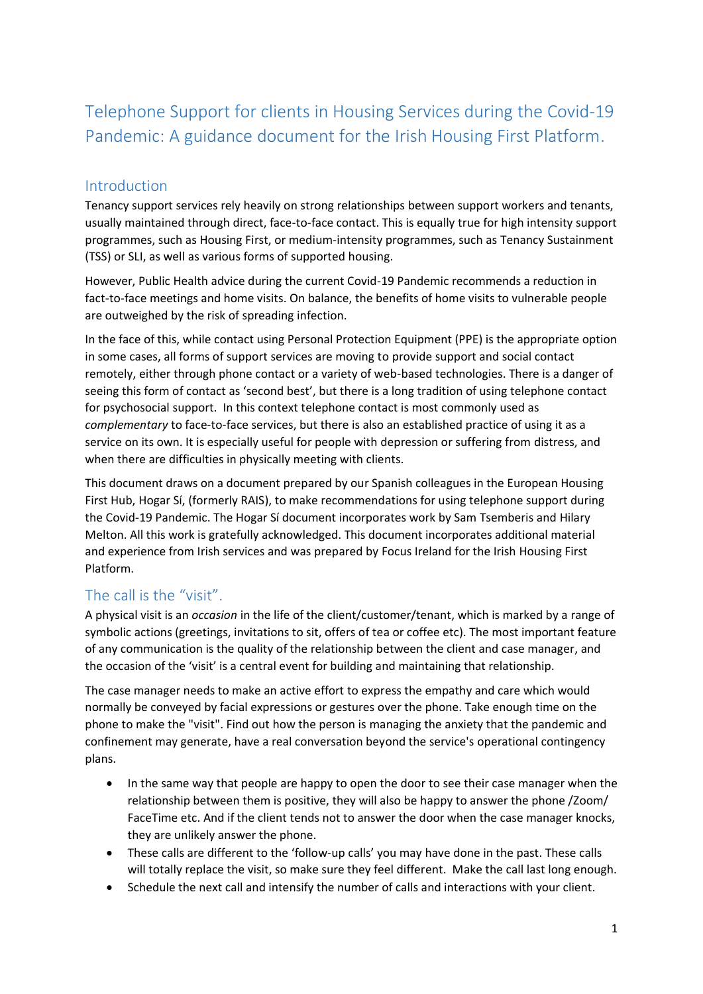# Telephone Support for clients in Housing Services during the Covid-19 Pandemic: A guidance document for the Irish Housing First Platform.

### Introduction

Tenancy support services rely heavily on strong relationships between support workers and tenants, usually maintained through direct, face-to-face contact. This is equally true for high intensity support programmes, such as Housing First, or medium-intensity programmes, such as Tenancy Sustainment (TSS) or SLI, as well as various forms of supported housing.

However, Public Health advice during the current Covid-19 Pandemic recommends a reduction in fact-to-face meetings and home visits. On balance, the benefits of home visits to vulnerable people are outweighed by the risk of spreading infection.

In the face of this, while contact using Personal Protection Equipment (PPE) is the appropriate option in some cases, all forms of support services are moving to provide support and social contact remotely, either through phone contact or a variety of web-based technologies. There is a danger of seeing this form of contact as 'second best', but there is a long tradition of using telephone contact for psychosocial support. In this context telephone contact is most commonly used as *complementary* to face-to-face services, but there is also an established practice of using it as a service on its own. It is especially useful for people with depression or suffering from distress, and when there are difficulties in physically meeting with clients.

This document draws on a document prepared by our Spanish colleagues in the European Housing First Hub, Hogar Sí, (formerly RAIS), to make recommendations for using telephone support during the Covid-19 Pandemic. The Hogar Sí document incorporates work by Sam Tsemberis and Hilary Melton. All this work is gratefully acknowledged. This document incorporates additional material and experience from Irish services and was prepared by Focus Ireland for the Irish Housing First Platform.

# The call is the "visit".

A physical visit is an *occasion* in the life of the client/customer/tenant, which is marked by a range of symbolic actions (greetings, invitations to sit, offers of tea or coffee etc). The most important feature of any communication is the quality of the relationship between the client and case manager, and the occasion of the 'visit' is a central event for building and maintaining that relationship.

The case manager needs to make an active effort to express the empathy and care which would normally be conveyed by facial expressions or gestures over the phone. Take enough time on the phone to make the "visit". Find out how the person is managing the anxiety that the pandemic and confinement may generate, have a real conversation beyond the service's operational contingency plans.

- In the same way that people are happy to open the door to see their case manager when the relationship between them is positive, they will also be happy to answer the phone /Zoom/ FaceTime etc. And if the client tends not to answer the door when the case manager knocks, they are unlikely answer the phone.
- These calls are different to the 'follow-up calls' you may have done in the past. These calls will totally replace the visit, so make sure they feel different. Make the call last long enough.
- Schedule the next call and intensify the number of calls and interactions with your client.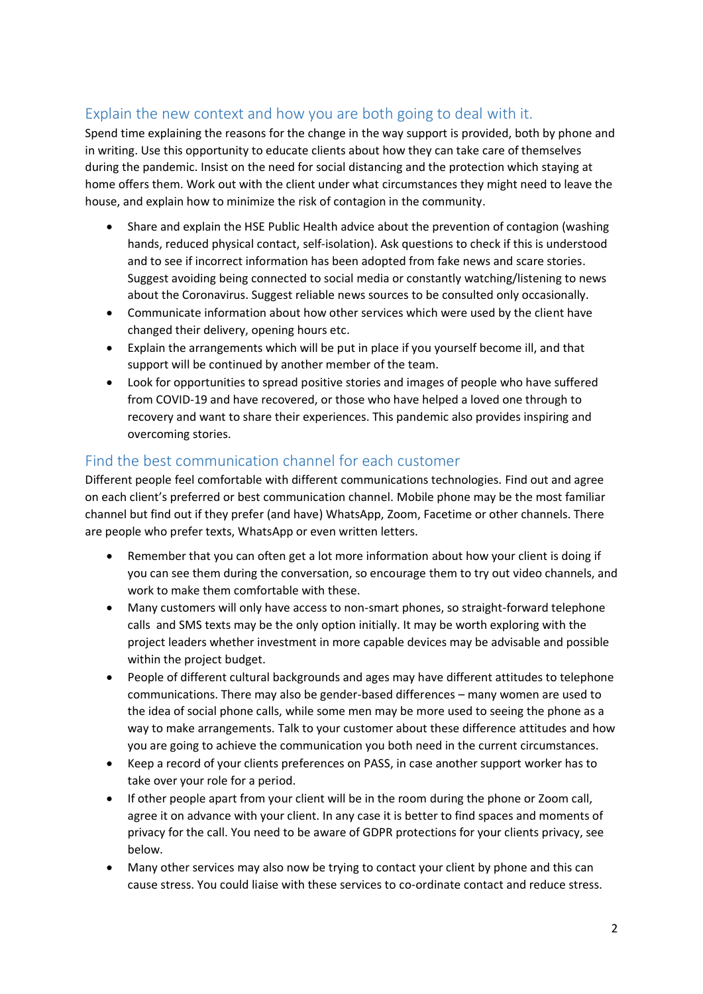# Explain the new context and how you are both going to deal with it.

Spend time explaining the reasons for the change in the way support is provided, both by phone and in writing. Use this opportunity to educate clients about how they can take care of themselves during the pandemic. Insist on the need for social distancing and the protection which staying at home offers them. Work out with the client under what circumstances they might need to leave the house, and explain how to minimize the risk of contagion in the community.

- Share and explain the HSE Public Health advice about the prevention of contagion (washing hands, reduced physical contact, self-isolation). Ask questions to check if this is understood and to see if incorrect information has been adopted from fake news and scare stories. Suggest avoiding being connected to social media or constantly watching/listening to news about the Coronavirus. Suggest reliable news sources to be consulted only occasionally.
- Communicate information about how other services which were used by the client have changed their delivery, opening hours etc.
- Explain the arrangements which will be put in place if you yourself become ill, and that support will be continued by another member of the team.
- Look for opportunities to spread positive stories and images of people who have suffered from COVID-19 and have recovered, or those who have helped a loved one through to recovery and want to share their experiences. This pandemic also provides inspiring and overcoming stories.

### Find the best communication channel for each customer

Different people feel comfortable with different communications technologies. Find out and agree on each client's preferred or best communication channel. Mobile phone may be the most familiar channel but find out if they prefer (and have) WhatsApp, Zoom, Facetime or other channels. There are people who prefer texts, WhatsApp or even written letters.

- Remember that you can often get a lot more information about how your client is doing if you can see them during the conversation, so encourage them to try out video channels, and work to make them comfortable with these.
- Many customers will only have access to non-smart phones, so straight-forward telephone calls and SMS texts may be the only option initially. It may be worth exploring with the project leaders whether investment in more capable devices may be advisable and possible within the project budget.
- People of different cultural backgrounds and ages may have different attitudes to telephone communications. There may also be gender-based differences – many women are used to the idea of social phone calls, while some men may be more used to seeing the phone as a way to make arrangements. Talk to your customer about these difference attitudes and how you are going to achieve the communication you both need in the current circumstances.
- Keep a record of your clients preferences on PASS, in case another support worker has to take over your role for a period.
- If other people apart from your client will be in the room during the phone or Zoom call, agree it on advance with your client. In any case it is better to find spaces and moments of privacy for the call. You need to be aware of GDPR protections for your clients privacy, see below.
- Many other services may also now be trying to contact your client by phone and this can cause stress. You could liaise with these services to co-ordinate contact and reduce stress.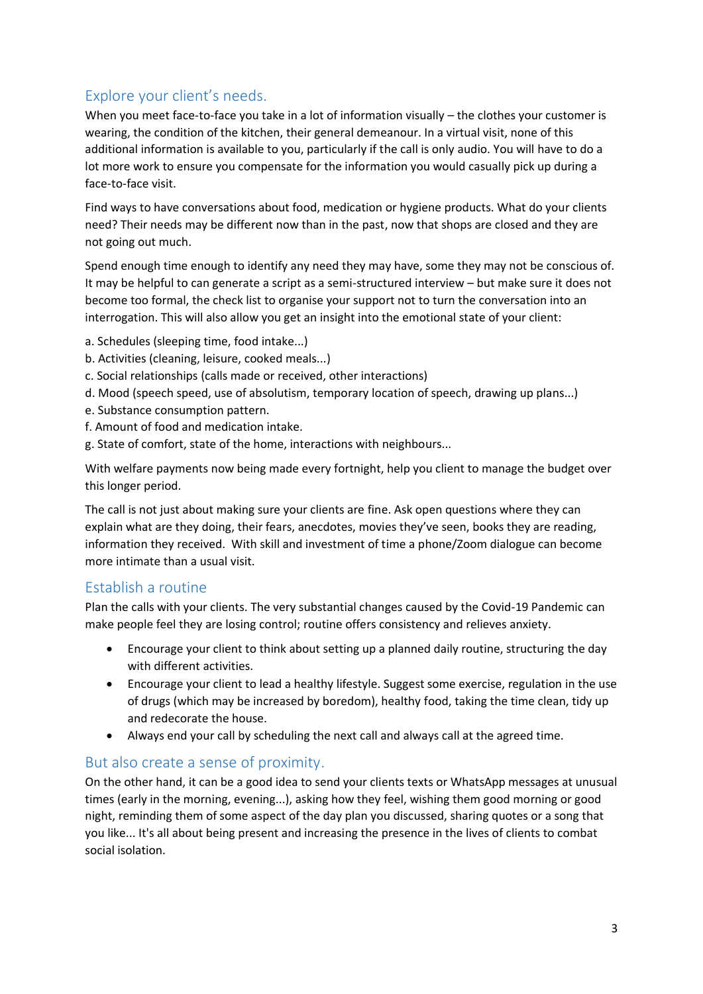# Explore your client's needs.

When you meet face-to-face you take in a lot of information visually – the clothes your customer is wearing, the condition of the kitchen, their general demeanour. In a virtual visit, none of this additional information is available to you, particularly if the call is only audio. You will have to do a lot more work to ensure you compensate for the information you would casually pick up during a face-to-face visit.

Find ways to have conversations about food, medication or hygiene products. What do your clients need? Their needs may be different now than in the past, now that shops are closed and they are not going out much.

Spend enough time enough to identify any need they may have, some they may not be conscious of. It may be helpful to can generate a script as a semi-structured interview – but make sure it does not become too formal, the check list to organise your support not to turn the conversation into an interrogation. This will also allow you get an insight into the emotional state of your client:

- a. Schedules (sleeping time, food intake...)
- b. Activities (cleaning, leisure, cooked meals...)
- c. Social relationships (calls made or received, other interactions)
- d. Mood (speech speed, use of absolutism, temporary location of speech, drawing up plans...)
- e. Substance consumption pattern.
- f. Amount of food and medication intake.
- g. State of comfort, state of the home, interactions with neighbours...

With welfare payments now being made every fortnight, help you client to manage the budget over this longer period.

The call is not just about making sure your clients are fine. Ask open questions where they can explain what are they doing, their fears, anecdotes, movies they've seen, books they are reading, information they received. With skill and investment of time a phone/Zoom dialogue can become more intimate than a usual visit.

### Establish a routine

Plan the calls with your clients. The very substantial changes caused by the Covid-19 Pandemic can make people feel they are losing control; routine offers consistency and relieves anxiety.

- Encourage your client to think about setting up a planned daily routine, structuring the day with different activities.
- Encourage your client to lead a healthy lifestyle. Suggest some exercise, regulation in the use of drugs (which may be increased by boredom), healthy food, taking the time clean, tidy up and redecorate the house.
- Always end your call by scheduling the next call and always call at the agreed time.

### But also create a sense of proximity.

On the other hand, it can be a good idea to send your clients texts or WhatsApp messages at unusual times (early in the morning, evening...), asking how they feel, wishing them good morning or good night, reminding them of some aspect of the day plan you discussed, sharing quotes or a song that you like... It's all about being present and increasing the presence in the lives of clients to combat social isolation.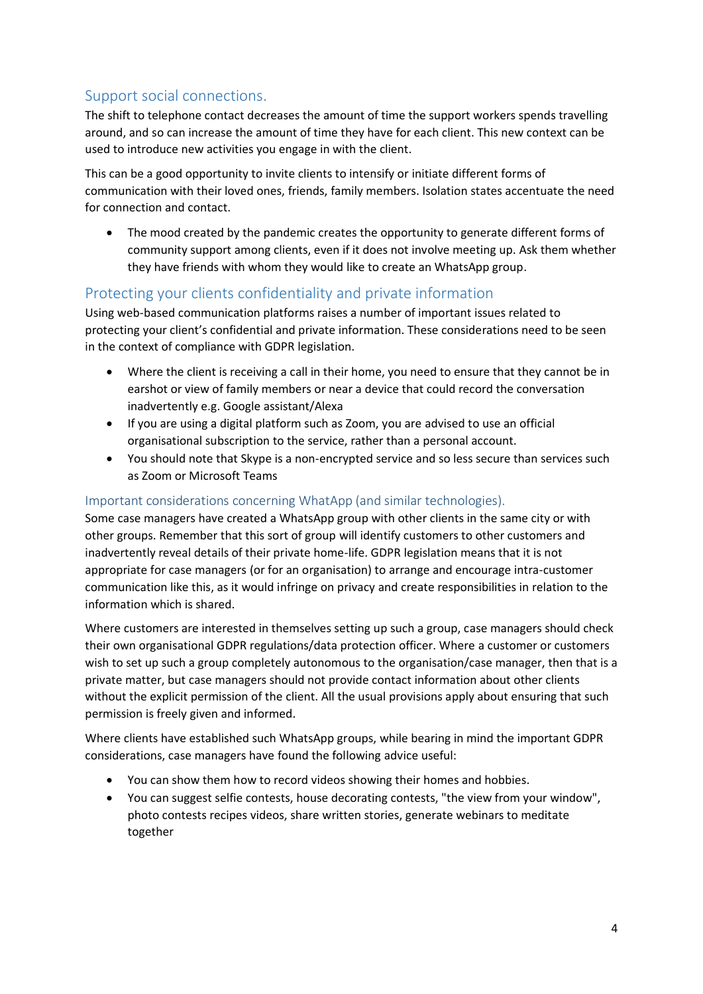# Support social connections.

The shift to telephone contact decreases the amount of time the support workers spends travelling around, and so can increase the amount of time they have for each client. This new context can be used to introduce new activities you engage in with the client.

This can be a good opportunity to invite clients to intensify or initiate different forms of communication with their loved ones, friends, family members. Isolation states accentuate the need for connection and contact.

The mood created by the pandemic creates the opportunity to generate different forms of community support among clients, even if it does not involve meeting up. Ask them whether they have friends with whom they would like to create an WhatsApp group.

### Protecting your clients confidentiality and private information

Using web-based communication platforms raises a number of important issues related to protecting your client's confidential and private information. These considerations need to be seen in the context of compliance with GDPR legislation.

- Where the client is receiving a call in their home, you need to ensure that they cannot be in earshot or view of family members or near a device that could record the conversation inadvertently e.g. Google assistant/Alexa
- If you are using a digital platform such as Zoom, you are advised to use an official organisational subscription to the service, rather than a personal account.
- You should note that Skype is a non-encrypted service and so less secure than services such as Zoom or Microsoft Teams

#### Important considerations concerning WhatApp (and similar technologies).

Some case managers have created a WhatsApp group with other clients in the same city or with other groups. Remember that this sort of group will identify customers to other customers and inadvertently reveal details of their private home-life. GDPR legislation means that it is not appropriate for case managers (or for an organisation) to arrange and encourage intra-customer communication like this, as it would infringe on privacy and create responsibilities in relation to the information which is shared.

Where customers are interested in themselves setting up such a group, case managers should check their own organisational GDPR regulations/data protection officer. Where a customer or customers wish to set up such a group completely autonomous to the organisation/case manager, then that is a private matter, but case managers should not provide contact information about other clients without the explicit permission of the client. All the usual provisions apply about ensuring that such permission is freely given and informed.

Where clients have established such WhatsApp groups, while bearing in mind the important GDPR considerations, case managers have found the following advice useful:

- You can show them how to record videos showing their homes and hobbies.
- You can suggest selfie contests, house decorating contests, "the view from your window", photo contests recipes videos, share written stories, generate webinars to meditate together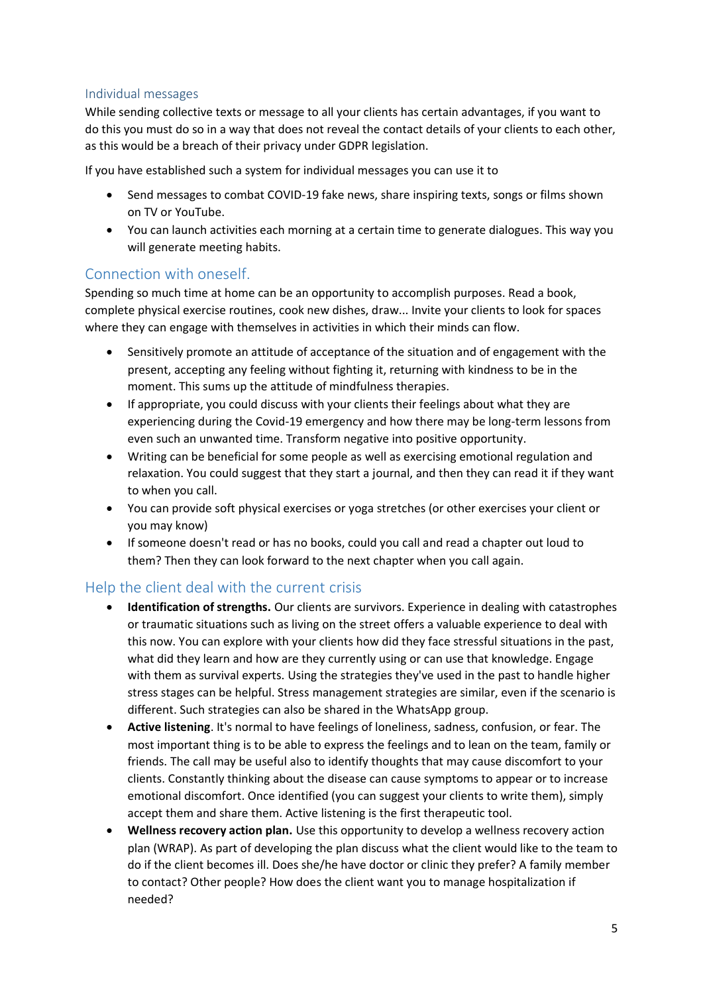#### Individual messages

While sending collective texts or message to all your clients has certain advantages, if you want to do this you must do so in a way that does not reveal the contact details of your clients to each other, as this would be a breach of their privacy under GDPR legislation.

If you have established such a system for individual messages you can use it to

- Send messages to combat COVID-19 fake news, share inspiring texts, songs or films shown on TV or YouTube.
- You can launch activities each morning at a certain time to generate dialogues. This way you will generate meeting habits.

#### Connection with oneself.

Spending so much time at home can be an opportunity to accomplish purposes. Read a book, complete physical exercise routines, cook new dishes, draw... Invite your clients to look for spaces where they can engage with themselves in activities in which their minds can flow.

- Sensitively promote an attitude of acceptance of the situation and of engagement with the present, accepting any feeling without fighting it, returning with kindness to be in the moment. This sums up the attitude of mindfulness therapies.
- If appropriate, you could discuss with your clients their feelings about what they are experiencing during the Covid-19 emergency and how there may be long-term lessons from even such an unwanted time. Transform negative into positive opportunity.
- Writing can be beneficial for some people as well as exercising emotional regulation and relaxation. You could suggest that they start a journal, and then they can read it if they want to when you call.
- You can provide soft physical exercises or yoga stretches (or other exercises your client or you may know)
- If someone doesn't read or has no books, could you call and read a chapter out loud to them? Then they can look forward to the next chapter when you call again.

### Help the client deal with the current crisis

- **Identification of strengths.** Our clients are survivors. Experience in dealing with catastrophes or traumatic situations such as living on the street offers a valuable experience to deal with this now. You can explore with your clients how did they face stressful situations in the past, what did they learn and how are they currently using or can use that knowledge. Engage with them as survival experts. Using the strategies they've used in the past to handle higher stress stages can be helpful. Stress management strategies are similar, even if the scenario is different. Such strategies can also be shared in the WhatsApp group.
- **Active listening**. It's normal to have feelings of loneliness, sadness, confusion, or fear. The most important thing is to be able to express the feelings and to lean on the team, family or friends. The call may be useful also to identify thoughts that may cause discomfort to your clients. Constantly thinking about the disease can cause symptoms to appear or to increase emotional discomfort. Once identified (you can suggest your clients to write them), simply accept them and share them. Active listening is the first therapeutic tool.
- **Wellness recovery action plan.** Use this opportunity to develop a wellness recovery action plan (WRAP). As part of developing the plan discuss what the client would like to the team to do if the client becomes ill. Does she/he have doctor or clinic they prefer? A family member to contact? Other people? How does the client want you to manage hospitalization if needed?